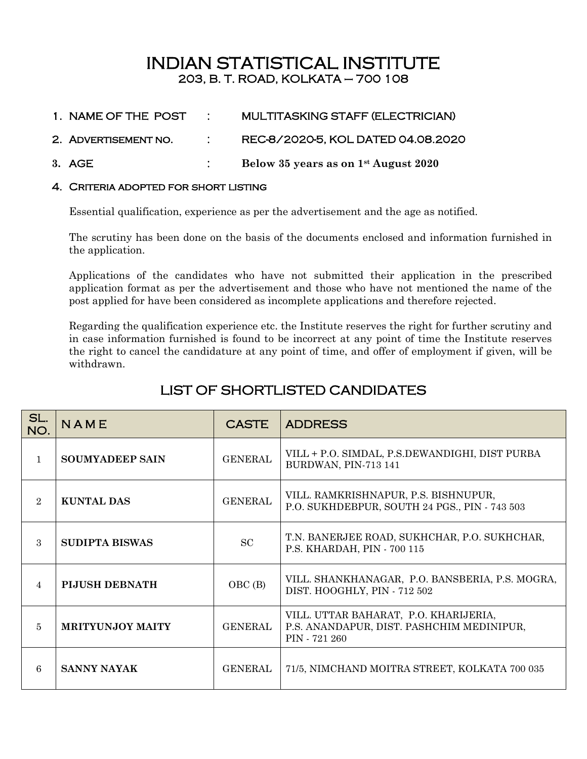# INDIAN STATISTICAL INSTITUTE 203, B. T. ROAD, KOLKATA – 700 108

- 1. NAME OF THE POST : MULTITASKING STAFF (ELECTRICIAN)
- 2. Advertisement no. : REC-8/2020-5, KOL DATED 04.08.2020
- **3.** AGE : **Below 35 years as on 1st August 2020**

#### 4. Criteria adopted for short listing

Essential qualification, experience as per the advertisement and the age as notified.

The scrutiny has been done on the basis of the documents enclosed and information furnished in the application.

Applications of the candidates who have not submitted their application in the prescribed application format as per the advertisement and those who have not mentioned the name of the post applied for have been considered as incomplete applications and therefore rejected.

Regarding the qualification experience etc. the Institute reserves the right for further scrutiny and in case information furnished is found to be incorrect at any point of time the Institute reserves the right to cancel the candidature at any point of time, and offer of employment if given, will be withdrawn.

| LIST OF SHORTLISTED CANDIDATES |  |
|--------------------------------|--|
|                                |  |

| SL.<br>NO.     | NAME                    | <b>CASTE</b>   | <b>ADDRESS</b>                                                                                      |
|----------------|-------------------------|----------------|-----------------------------------------------------------------------------------------------------|
| $\mathbf{1}$   | <b>SOUMYADEEP SAIN</b>  | <b>GENERAL</b> | VILL + P.O. SIMDAL, P.S.DEWANDIGHI, DIST PURBA<br>BURDWAN, PIN-713 141                              |
| $\overline{2}$ | KUNTAL DAS              | <b>GENERAL</b> | VILL. RAMKRISHNAPUR, P.S. BISHNUPUR,<br>P.O. SUKHDEBPUR, SOUTH 24 PGS., PIN - 743 503               |
| $\mathcal{S}$  | <b>SUDIPTA BISWAS</b>   | SC             | T.N. BANERJEE ROAD, SUKHCHAR, P.O. SUKHCHAR,<br>P.S. KHARDAH, PIN - 700 115                         |
| $\overline{4}$ | <b>PIJUSH DEBNATH</b>   | OBC (B)        | VILL. SHANKHANAGAR, P.O. BANSBERIA, P.S. MOGRA,<br>DIST. HOOGHLY, PIN - 712 502                     |
| 5              | <b>MRITYUNJOY MAITY</b> | <b>GENERAL</b> | VILL. UTTAR BAHARAT, P.O. KHARIJERIA,<br>P.S. ANANDAPUR, DIST. PASHCHIM MEDINIPUR,<br>PIN - 721 260 |
| 6              | <b>SANNY NAYAK</b>      | GENERAL        | 71/5, NIMCHAND MOITRA STREET, KOLKATA 700 035                                                       |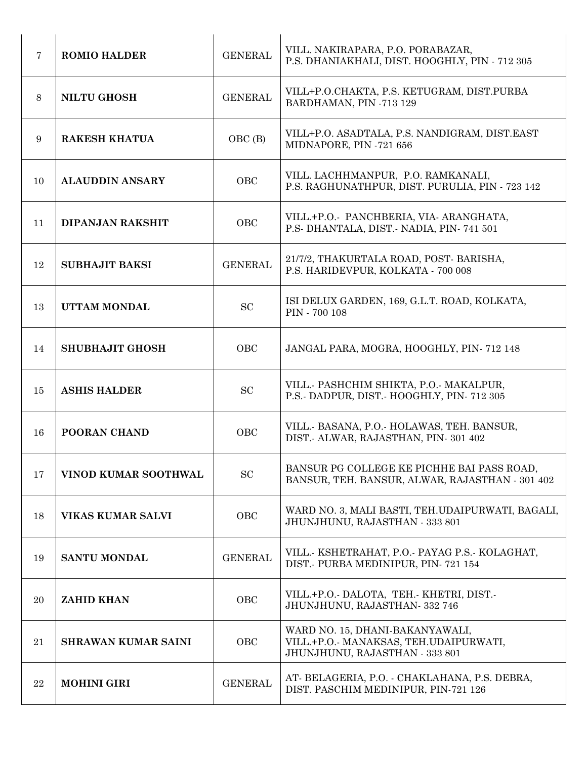| $\overline{7}$ | <b>ROMIO HALDER</b>        | <b>GENERAL</b> | VILL. NAKIRAPARA, P.O. PORABAZAR,<br>P.S. DHANIAKHALI, DIST. HOOGHLY, PIN - 712 305                         |
|----------------|----------------------------|----------------|-------------------------------------------------------------------------------------------------------------|
| 8              | <b>NILTU GHOSH</b>         | <b>GENERAL</b> | VILL+P.O.CHAKTA, P.S. KETUGRAM, DIST.PURBA<br>BARDHAMAN, PIN -713 129                                       |
| 9              | <b>RAKESH KHATUA</b>       | OBC (B)        | VILL+P.O. ASADTALA, P.S. NANDIGRAM, DIST.EAST<br>MIDNAPORE, PIN -721 656                                    |
| 10             | <b>ALAUDDIN ANSARY</b>     | OBC            | VILL. LACHHMANPUR, P.O. RAMKANALI,<br>P.S. RAGHUNATHPUR, DIST. PURULIA, PIN - 723 142                       |
| 11             | <b>DIPANJAN RAKSHIT</b>    | OBC            | VILL.+P.O. PANCHBERIA, VIA ARANGHATA,<br>P.S. DHANTALA, DIST. NADIA, PIN 741 501                            |
| 12             | <b>SUBHAJIT BAKSI</b>      | <b>GENERAL</b> | 21/7/2, THAKURTALA ROAD, POST-BARISHA,<br>P.S. HARIDEVPUR, KOLKATA - 700 008                                |
| 13             | UTTAM MONDAL               | SC             | ISI DELUX GARDEN, 169, G.L.T. ROAD, KOLKATA,<br>PIN - 700 108                                               |
| 14             | <b>SHUBHAJIT GHOSH</b>     | OBC            | JANGAL PARA, MOGRA, HOOGHLY, PIN-712 148                                                                    |
| 15             | <b>ASHIS HALDER</b>        | SC             | VILL. PASHCHIM SHIKTA, P.O. MAKALPUR,<br>P.S. DADPUR, DIST. HOOGHLY, PIN-712 305                            |
| 16             | POORAN CHAND               | OBC            | VILL. BASANA, P.O. HOLAWAS, TEH. BANSUR,<br>DIST.- ALWAR, RAJASTHAN, PIN-301 402                            |
| 17             | VINOD KUMAR SOOTHWAL       | SC             | BANSUR PG COLLEGE KE PICHHE BAI PASS ROAD,<br>BANSUR, TEH. BANSUR, ALWAR, RAJASTHAN - 301 402               |
| 18             | <b>VIKAS KUMAR SALVI</b>   | OBC            | WARD NO. 3, MALI BASTI, TEH.UDAIPURWATI, BAGALI,<br>JHUNJHUNU, RAJASTHAN - 333 801                          |
| 19             | <b>SANTU MONDAL</b>        | <b>GENERAL</b> | VILL. KSHETRAHAT, P.O. PAYAG P.S. KOLAGHAT,<br>DIST.- PURBA MEDINIPUR, PIN-721 154                          |
| 20             | <b>ZAHID KHAN</b>          | OBC            | VILL.+P.O.- DALOTA, TEH.- KHETRI, DIST.-<br>JHUNJHUNU, RAJASTHAN-332 746                                    |
| 21             | <b>SHRAWAN KUMAR SAINI</b> | OBC            | WARD NO. 15, DHANI-BAKANYAWALI,<br>VILL.+P.O.- MANAKSAS, TEH.UDAIPURWATI,<br>JHUNJHUNU, RAJASTHAN - 333 801 |
| 22             | <b>MOHINI GIRI</b>         | <b>GENERAL</b> | AT-BELAGERIA, P.O. - CHAKLAHANA, P.S. DEBRA,<br>DIST. PASCHIM MEDINIPUR, PIN-721 126                        |
|                |                            |                |                                                                                                             |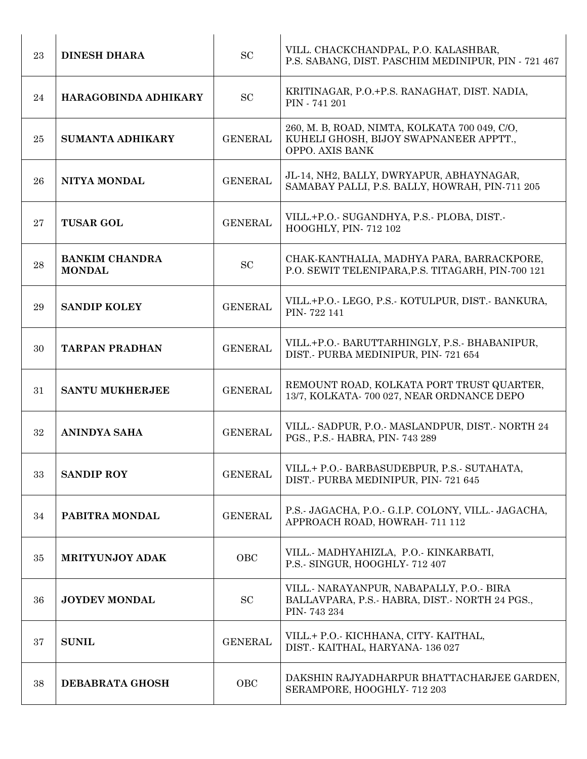| 23 | <b>DINESH DHARA</b>                    | <b>SC</b>      | VILL. CHACKCHANDPAL, P.O. KALASHBAR,<br>P.S. SABANG, DIST. PASCHIM MEDINIPUR, PIN - 721 467                |
|----|----------------------------------------|----------------|------------------------------------------------------------------------------------------------------------|
| 24 | HARAGOBINDA ADHIKARY                   | <b>SC</b>      | KRITINAGAR, P.O.+P.S. RANAGHAT, DIST. NADIA,<br>PIN - 741 201                                              |
| 25 | <b>SUMANTA ADHIKARY</b>                | <b>GENERAL</b> | 260, M. B, ROAD, NIMTA, KOLKATA 700 049, C/O,<br>KUHELI GHOSH, BIJOY SWAPNANEER APPTT.,<br>OPPO. AXIS BANK |
| 26 | NITYA MONDAL                           | <b>GENERAL</b> | JL-14, NH2, BALLY, DWRYAPUR, ABHAYNAGAR,<br>SAMABAY PALLI, P.S. BALLY, HOWRAH, PIN-711 205                 |
| 27 | <b>TUSAR GOL</b>                       | <b>GENERAL</b> | VILL.+P.O. SUGANDHYA, P.S. PLOBA, DIST.<br>HOOGHLY, PIN-712 102                                            |
| 28 | <b>BANKIM CHANDRA</b><br><b>MONDAL</b> | SC             | CHAK-KANTHALIA, MADHYA PARA, BARRACKPORE,<br>P.O. SEWIT TELENIPARA, P.S. TITAGARH, PIN-700 121             |
| 29 | <b>SANDIP KOLEY</b>                    | <b>GENERAL</b> | VILL.+P.O. LEGO, P.S. KOTULPUR, DIST. BANKURA,<br>PIN-722 141                                              |
| 30 | <b>TARPAN PRADHAN</b>                  | <b>GENERAL</b> | VILL.+P.O. BARUTTARHINGLY, P.S. BHABANIPUR,<br>DIST.- PURBA MEDINIPUR, PIN-721 654                         |
| 31 | <b>SANTU MUKHERJEE</b>                 | <b>GENERAL</b> | REMOUNT ROAD, KOLKATA PORT TRUST QUARTER,<br>13/7, KOLKATA- 700 027, NEAR ORDNANCE DEPO                    |
| 32 | <b>ANINDYA SAHA</b>                    | <b>GENERAL</b> | VILL. SADPUR, P.O. MASLANDPUR, DIST. NORTH 24<br>PGS., P.S.- HABRA, PIN- 743 289                           |
| 33 | <b>SANDIP ROY</b>                      | <b>GENERAL</b> | VILL.+ P.O. BARBASUDEBPUR, P.S. SUTAHATA,<br>DIST. PURBA MEDINIPUR, PIN-721 645                            |
| 34 | PABITRA MONDAL                         | <b>GENERAL</b> | P.S. JAGACHA, P.O. G.I.P. COLONY, VILL. JAGACHA,<br>APPROACH ROAD, HOWRAH- 711 112                         |
| 35 | <b>MRITYUNJOY ADAK</b>                 | OBC            | VILL. MADHYAHIZLA, P.O. KINKARBATI,<br>P.S. SINGUR, HOOGHLY 712 407                                        |
| 36 | <b>JOYDEV MONDAL</b>                   | <b>SC</b>      | VILL. NARAYANPUR, NABAPALLY, P.O. BIRA<br>BALLAVPARA, P.S.- HABRA, DIST.- NORTH 24 PGS.,<br>PIN-743 234    |
| 37 | <b>SUNIL</b>                           | <b>GENERAL</b> | VILL.+ P.O. KICHHANA, CITY KAITHAL,<br>DIST. KAITHAL, HARYANA 136 027                                      |
| 38 | DEBABRATA GHOSH                        | OBC            | DAKSHIN RAJYADHARPUR BHATTACHARJEE GARDEN,<br>SERAMPORE, HOOGHLY-712 203                                   |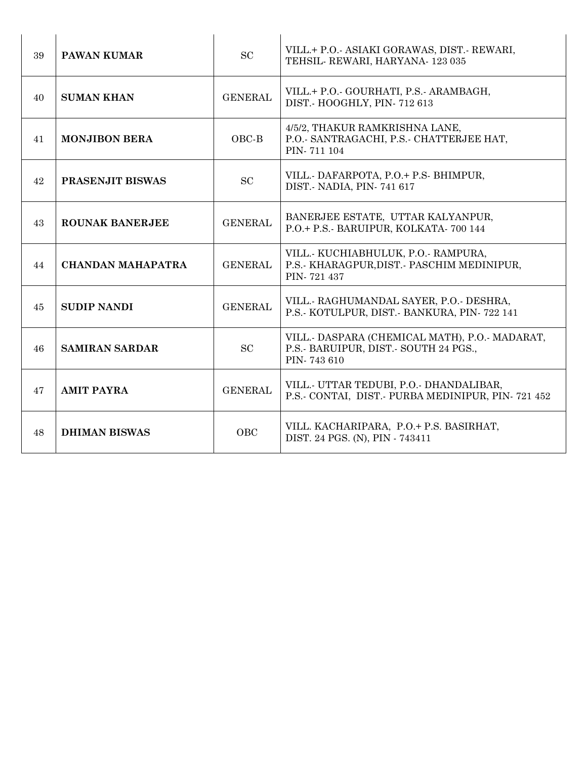| 39 | <b>PAWAN KUMAR</b>       | <b>SC</b>      | VILL.+ P.O.- ASIAKI GORAWAS, DIST.- REWARI,<br>TEHSIL-REWARI, HARYANA-123 035                          |
|----|--------------------------|----------------|--------------------------------------------------------------------------------------------------------|
| 40 | <b>SUMAN KHAN</b>        | <b>GENERAL</b> | VILL.+ P.O.- GOURHATI, P.S.- ARAMBAGH,<br>DIST.- HOOGHLY, PIN-712 613                                  |
| 41 | <b>MONJIBON BERA</b>     | OBC-B          | 4/5/2, THAKUR RAMKRISHNA LANE,<br>P.O.- SANTRAGACHI, P.S.- CHATTERJEE HAT,<br>PIN-711 104              |
| 42 | PRASENJIT BISWAS         | <b>SC</b>      | VILL. DAFARPOTA, P.O.+ P.S. BHIMPUR,<br>DIST.- NADIA, PIN-741 617                                      |
| 43 | <b>ROUNAK BANERJEE</b>   | <b>GENERAL</b> | BANERJEE ESTATE, UTTAR KALYANPUR,<br>P.O.+ P.S.- BARUIPUR, KOLKATA- 700 144                            |
| 44 | <b>CHANDAN MAHAPATRA</b> | <b>GENERAL</b> | VILL. KUCHIABHULUK, P.O. RAMPURA,<br>P.S. KHARAGPUR, DIST. PASCHIM MEDINIPUR,<br>PIN-721 437           |
| 45 | <b>SUDIP NANDI</b>       | <b>GENERAL</b> | VILL. RAGHUMANDAL SAYER, P.O. DESHRA,<br>P.S. KOTULPUR, DIST. BANKURA, PIN-722 141                     |
| 46 | <b>SAMIRAN SARDAR</b>    | <b>SC</b>      | VILL.- DASPARA (CHEMICAL MATH), P.O.- MADARAT,<br>P.S.- BARUIPUR, DIST.- SOUTH 24 PGS.,<br>PIN-743 610 |
| 47 | <b>AMIT PAYRA</b>        | <b>GENERAL</b> | VILL. UTTAR TEDUBI, P.O. DHANDALIBAR,<br>P.S.- CONTAI, DIST.- PURBA MEDINIPUR, PIN-721 452             |
| 48 | <b>DHIMAN BISWAS</b>     | <b>OBC</b>     | VILL. KACHARIPARA, P.O.+ P.S. BASIRHAT,<br>DIST. 24 PGS. (N), PIN - 743411                             |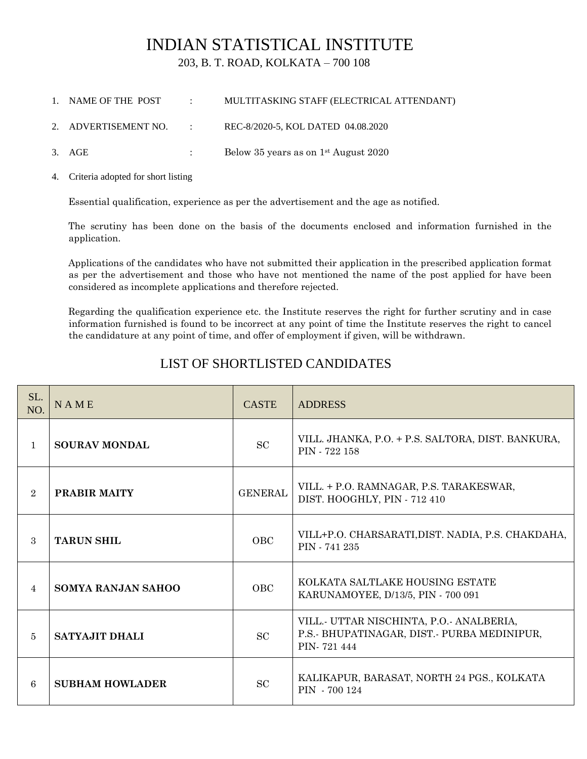# INDIAN STATISTICAL INSTITUTE

203, B. T. ROAD, KOLKATA – 700 108

- 1. NAME OF THE POST : MULTITASKING STAFF (ELECTRICAL ATTENDANT)
- 2. ADVERTISEMENT NO. : REC-8/2020-5, KOL DATED 04.08.2020
- 3. AGE : Below 35 years as on 1st August 2020
- 4. Criteria adopted for short listing

Essential qualification, experience as per the advertisement and the age as notified.

The scrutiny has been done on the basis of the documents enclosed and information furnished in the application.

Applications of the candidates who have not submitted their application in the prescribed application format as per the advertisement and those who have not mentioned the name of the post applied for have been considered as incomplete applications and therefore rejected.

Regarding the qualification experience etc. the Institute reserves the right for further scrutiny and in case information furnished is found to be incorrect at any point of time the Institute reserves the right to cancel the candidature at any point of time, and offer of employment if given, will be withdrawn.

## LIST OF SHORTLISTED CANDIDATES

| SL.<br>NO.     | <b>NAME</b>            | <b>CASTE</b>   | <b>ADDRESS</b>                                                                                       |
|----------------|------------------------|----------------|------------------------------------------------------------------------------------------------------|
| $\mathbf{1}$   | <b>SOURAV MONDAL</b>   | SC             | VILL. JHANKA, P.O. + P.S. SALTORA, DIST. BANKURA,<br>PIN - 722 158                                   |
| $\overline{2}$ | PRABIR MAITY           | <b>GENERAL</b> | VILL. + P.O. RAMNAGAR, P.S. TARAKESWAR,<br>DIST. HOOGHLY, PIN - 712 410                              |
| $\mathcal{S}$  | <b>TARUN SHIL</b>      | <b>OBC</b>     | VILL+P.O. CHARSARATI, DIST. NADIA, P.S. CHAKDAHA,<br>PIN - 741 235                                   |
| $\overline{4}$ | SOMYA RANJAN SAHOO     | <b>OBC</b>     | KOLKATA SALTLAKE HOUSING ESTATE<br>KARUNAMOYEE, D/13/5, PIN - 700 091                                |
| 5              | <b>SATYAJIT DHALI</b>  | <b>SC</b>      | VILL.- UTTAR NISCHINTA, P.O.- ANALBERIA,<br>P.S. BHUPATINAGAR, DIST. PURBA MEDINIPUR,<br>PIN-721 444 |
| 6              | <b>SUBHAM HOWLADER</b> | <b>SC</b>      | KALIKAPUR, BARASAT, NORTH 24 PGS., KOLKATA<br>PIN - 700 124                                          |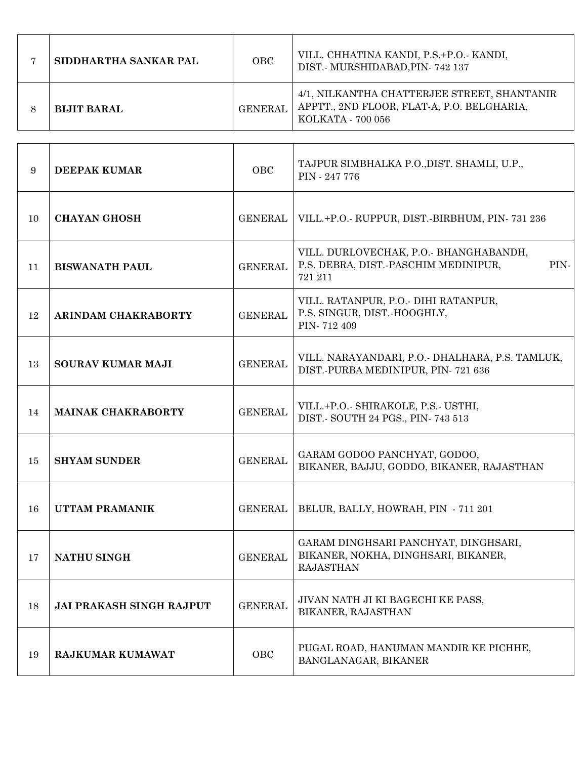| SIDDHARTHA SANKAR PAL | OBC            | VILL. CHHATINA KANDI, P.S.+P.O.- KANDI,<br>DIST. MURSHIDABAD, PIN-742 137                                      |
|-----------------------|----------------|----------------------------------------------------------------------------------------------------------------|
| <b>BIJIT BARAL</b>    | <b>GENERAL</b> | 4/1, NILKANTHA CHATTERJEE STREET, SHANTANIR<br>APPTT., 2ND FLOOR, FLAT-A, P.O. BELGHARIA,<br>KOLKATA - 700 056 |

| 9  | <b>DEEPAK KUMAR</b>             | OBC            | TAJPUR SIMBHALKA P.O., DIST. SHAMLI, U.P.,<br>PIN - 247 776                                      |
|----|---------------------------------|----------------|--------------------------------------------------------------------------------------------------|
| 10 | <b>CHAYAN GHOSH</b>             | <b>GENERAL</b> | VILL.+P.O.- RUPPUR, DIST.-BIRBHUM, PIN-731 236                                                   |
| 11 | <b>BISWANATH PAUL</b>           | <b>GENERAL</b> | VILL. DURLOVECHAK, P.O. BHANGHABANDH,<br>P.S. DEBRA, DIST.-PASCHIM MEDINIPUR,<br>PIN-<br>721 211 |
| 12 | ARINDAM CHAKRABORTY             | <b>GENERAL</b> | VILL. RATANPUR, P.O.- DIHI RATANPUR,<br>P.S. SINGUR, DIST.-HOOGHLY,<br>PIN-712 409               |
| 13 | <b>SOURAV KUMAR MAJI</b>        | <b>GENERAL</b> | VILL. NARAYANDARI, P.O.- DHALHARA, P.S. TAMLUK,<br>DIST.-PURBA MEDINIPUR, PIN-721 636            |
| 14 | <b>MAINAK CHAKRABORTY</b>       | <b>GENERAL</b> | VILL.+P.O.- SHIRAKOLE, P.S.- USTHI,<br>DIST.- SOUTH 24 PGS., PIN-743 513                         |
| 15 | <b>SHYAM SUNDER</b>             | <b>GENERAL</b> | GARAM GODOO PANCHYAT, GODOO,<br>BIKANER, BAJJU, GODDO, BIKANER, RAJASTHAN                        |
| 16 | UTTAM PRAMANIK                  | <b>GENERAL</b> | BELUR, BALLY, HOWRAH, PIN - 711 201                                                              |
| 17 | <b>NATHU SINGH</b>              | <b>GENERAL</b> | GARAM DINGHSARI PANCHYAT, DINGHSARI,<br>BIKANER, NOKHA, DINGHSARI, BIKANER,<br><b>RAJASTHAN</b>  |
| 18 | <b>JAI PRAKASH SINGH RAJPUT</b> | <b>GENERAL</b> | JIVAN NATH JI KI BAGECHI KE PASS,<br>BIKANER, RAJASTHAN                                          |
| 19 | <b>RAJKUMAR KUMAWAT</b>         | OBC            | PUGAL ROAD, HANUMAN MANDIR KE PICHHE,<br>BANGLANAGAR, BIKANER                                    |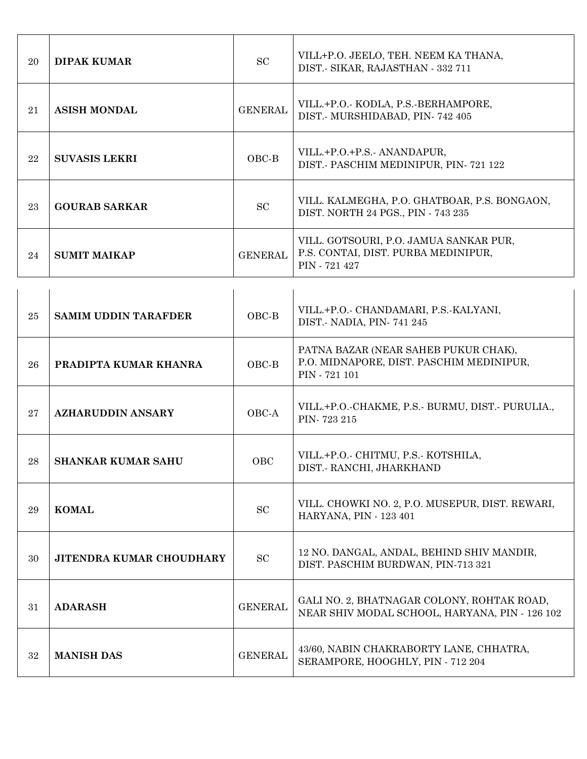| 20     | <b>DIPAK KUMAR</b>              | <b>SC</b>      | VILL+P.O. JEELO, TEH. NEEM KA THANA,<br>DIST.- SIKAR, RAJASTHAN - 332 711                         |
|--------|---------------------------------|----------------|---------------------------------------------------------------------------------------------------|
| 21     | <b>ASISH MONDAL</b>             | <b>GENERAL</b> | VILL.+P.O. KODLA, P.S. BERHAMPORE,<br>DIST. MURSHIDABAD, PIN-742 405                              |
| 22     | <b>SUVASIS LEKRI</b>            | OBC-B          | VILL.+P.O.+P.S.- ANANDAPUR,<br>DIST. PASCHIM MEDINIPUR, PIN-721 122                               |
| 23     | <b>GOURAB SARKAR</b>            | SC             | VILL. KALMEGHA, P.O. GHATBOAR, P.S. BONGAON,<br>DIST. NORTH 24 PGS., PIN - 743 235                |
| 24     | <b>SUMIT MAIKAP</b>             | <b>GENERAL</b> | VILL. GOTSOURI, P.O. JAMUA SANKAR PUR,<br>P.S. CONTAI, DIST. PURBA MEDINIPUR,<br>PIN - 721 427    |
|        |                                 |                |                                                                                                   |
| $25\,$ | <b>SAMIM UDDIN TARAFDER</b>     | OBC-B          | VILL.+P.O.- CHANDAMARI, P.S.-KALYANI,<br>DIST. NADIA, PIN-741 245                                 |
| 26     | PRADIPTA KUMAR KHANRA           | OBC-B          | PATNA BAZAR (NEAR SAHEB PUKUR CHAK),<br>P.O. MIDNAPORE, DIST. PASCHIM MEDINIPUR,<br>PIN - 721 101 |
| 27     | <b>AZHARUDDIN ANSARY</b>        | OBC-A          | VILL.+P.O.-CHAKME, P.S.- BURMU, DIST.- PURULIA.,<br>PIN-723 215                                   |
| 28     | <b>SHANKAR KUMAR SAHU</b>       | OBC            | VILL.+P.O.- CHITMU, P.S.- KOTSHILA,<br>DIST.- RANCHI, JHARKHAND                                   |
| 29     | <b>KOMAL</b>                    | SC             | VILL. CHOWKI NO. 2, P.O. MUSEPUR, DIST. REWARI,<br>HARYANA, PIN - 123 401                         |
| 30     | <b>JITENDRA KUMAR CHOUDHARY</b> | <b>SC</b>      | 12 NO. DANGAL, ANDAL, BEHIND SHIV MANDIR,<br>DIST. PASCHIM BURDWAN, PIN-713 321                   |
| 31     | <b>ADARASH</b>                  | <b>GENERAL</b> | GALI NO. 2, BHATNAGAR COLONY, ROHTAK ROAD,<br>NEAR SHIV MODAL SCHOOL, HARYANA, PIN - 126 102      |
| 32     | <b>MANISH DAS</b>               | <b>GENERAL</b> | 43/60, NABIN CHAKRABORTY LANE, CHHATRA,<br>SERAMPORE, HOOGHLY, PIN - 712 204                      |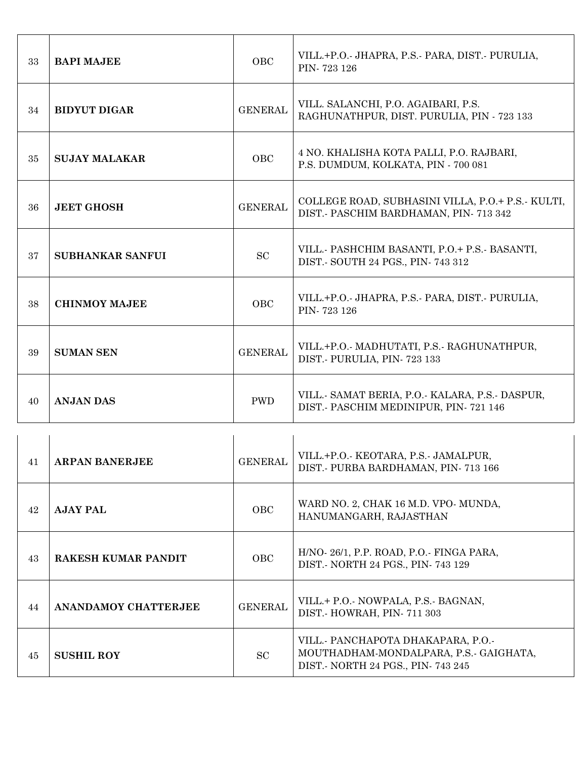| 33 | <b>BAPI MAJEE</b>           | OBC            | VILL.+P.O. JHAPRA, P.S. PARA, DIST. PURULIA,<br>PIN-723 126                                                     |
|----|-----------------------------|----------------|-----------------------------------------------------------------------------------------------------------------|
| 34 | <b>BIDYUT DIGAR</b>         | <b>GENERAL</b> | VILL. SALANCHI, P.O. AGAIBARI, P.S.<br>RAGHUNATHPUR, DIST. PURULIA, PIN - 723 133                               |
| 35 | <b>SUJAY MALAKAR</b>        | OBC            | 4 NO. KHALISHA KOTA PALLI, P.O. RAJBARI,<br>P.S. DUMDUM, KOLKATA, PIN - 700 081                                 |
| 36 | <b>JEET GHOSH</b>           | <b>GENERAL</b> | COLLEGE ROAD, SUBHASINI VILLA, P.O.+ P.S.- KULTI,<br>DIST.- PASCHIM BARDHAMAN, PIN- 713 342                     |
| 37 | <b>SUBHANKAR SANFUI</b>     | SC             | VILL. PASHCHIM BASANTI, P.O.+ P.S. BASANTI,<br>DIST. SOUTH 24 PGS., PIN- 743 312                                |
| 38 | <b>CHINMOY MAJEE</b>        | OBC            | VILL.+P.O. JHAPRA, P.S. PARA, DIST. PURULIA,<br>PIN-723 126                                                     |
| 39 | <b>SUMAN SEN</b>            | <b>GENERAL</b> | VILL.+P.O.- MADHUTATI, P.S.- RAGHUNATHPUR,<br>DIST. PURULIA, PIN-723 133                                        |
| 40 | <b>ANJAN DAS</b>            | <b>PWD</b>     | VILL. SAMAT BERIA, P.O. KALARA, P.S. DASPUR,<br>DIST. PASCHIM MEDINIPUR, PIN-721 146                            |
|    |                             |                |                                                                                                                 |
| 41 | <b>ARPAN BANERJEE</b>       | <b>GENERAL</b> | VILL.+P.O.- KEOTARA, P.S.- JAMALPUR,<br>DIST.- PURBA BARDHAMAN, PIN-713 166                                     |
| 42 | <b>AJAY PAL</b>             | OBC            | WARD NO. 2, CHAK 16 M.D. VPO- MUNDA,<br>HANUMANGARH, RAJASTHAN                                                  |
| 43 | <b>RAKESH KUMAR PANDIT</b>  | OBC            | H/NO-26/1, P.P. ROAD, P.O.- FINGA PARA,<br>DIST. NORTH 24 PGS., PIN-743 129                                     |
| 44 | <b>ANANDAMOY CHATTERJEE</b> | <b>GENERAL</b> | VILL.+ P.O.- NOWPALA, P.S.- BAGNAN,<br>DIST.- HOWRAH, PIN-711 303                                               |
| 45 | <b>SUSHIL ROY</b>           | SC             | VILL. PANCHAPOTA DHAKAPARA, P.O.-<br>MOUTHADHAM-MONDALPARA, P.S.- GAIGHATA,<br>DIST. NORTH 24 PGS., PIN-743 245 |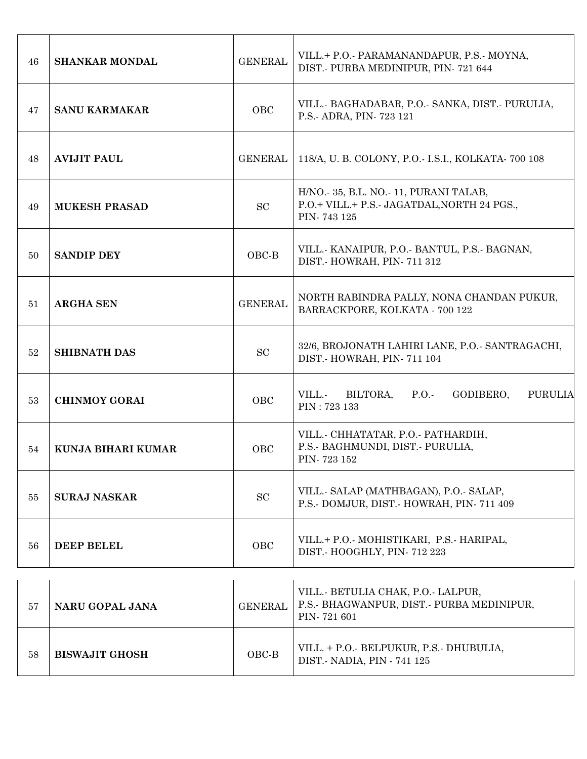| 46 | <b>SHANKAR MONDAL</b> | <b>GENERAL</b> | VILL.+ P.O. PARAMANANDAPUR, P.S. MOYNA,<br>DIST. PURBA MEDINIPUR, PIN-721 644                      |
|----|-----------------------|----------------|----------------------------------------------------------------------------------------------------|
| 47 | <b>SANU KARMAKAR</b>  | OBC            | VILL. BAGHADABAR, P.O. SANKA, DIST. PURULIA,<br>P.S.- ADRA, PIN-723 121                            |
| 48 | <b>AVIJIT PAUL</b>    | <b>GENERAL</b> | 118/A, U. B. COLONY, P.O. I.S.I., KOLKATA 700 108                                                  |
| 49 | <b>MUKESH PRASAD</b>  | <b>SC</b>      | H/NO. 35, B.L. NO. 11, PURANI TALAB,<br>P.O.+ VILL.+ P.S.- JAGATDAL, NORTH 24 PGS.,<br>PIN-743 125 |
| 50 | <b>SANDIP DEY</b>     | OBC-B          | VILL. KANAIPUR, P.O. BANTUL, P.S. BAGNAN,<br>DIST.- HOWRAH, PIN-711 312                            |
| 51 | <b>ARGHA SEN</b>      | <b>GENERAL</b> | NORTH RABINDRA PALLY, NONA CHANDAN PUKUR,<br>BARRACKPORE, KOLKATA - 700 122                        |
| 52 | <b>SHIBNATH DAS</b>   | ${\rm SC}$     | 32/6, BROJONATH LAHIRI LANE, P.O.- SANTRAGACHI,<br>DIST. HOWRAH, PIN-711 104                       |
| 53 | <b>CHINMOY GORAI</b>  | OBC            | VILL.-<br>BILTORA,<br>P.O.<br>GODIBERO,<br><b>PURULIA</b><br>PIN: 723 133                          |
| 54 | KUNJA BIHARI KUMAR    | OBC            | VILL. CHHATATAR, P.O. PATHARDIH,<br>P.S.- BAGHMUNDI, DIST.- PURULIA,<br>PIN-723 152                |
| 55 | <b>SURAJ NASKAR</b>   | SC             | VILL. SALAP (MATHBAGAN), P.O. SALAP,<br>P.S.- DOMJUR, DIST.- HOWRAH, PIN-711 409                   |
| 56 | <b>DEEP BELEL</b>     | OBC            | VILL.+ P.O. MOHISTIKARI, P.S. HARIPAL,<br>DIST. HOOGHLY, PIN-712 223                               |
| 57 | NARU GOPAL JANA       | <b>GENERAL</b> | VILL. BETULIA CHAK, P.O. LALPUR,<br>P.S. BHAGWANPUR, DIST. PURBA MEDINIPUR,<br>PIN-721 601         |
| 58 | <b>BISWAJIT GHOSH</b> | OBC-B          | VILL. + P.O. BELPUKUR, P.S. DHUBULIA,                                                              |

DIST.- NADIA, PIN - 741 125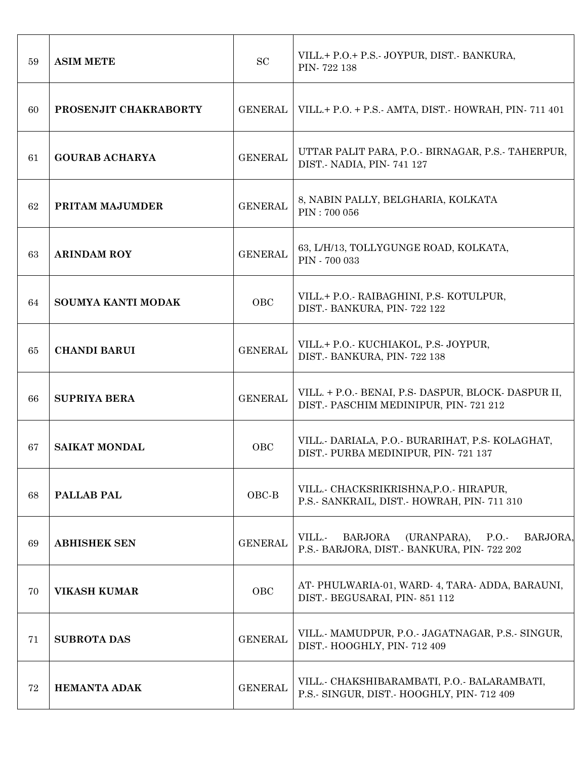| 59 | <b>ASIM METE</b>      | <b>SC</b>      | VILL.+ P.O.+ P.S. JOYPUR, DIST. BANKURA,<br>PIN-722 138                                                 |
|----|-----------------------|----------------|---------------------------------------------------------------------------------------------------------|
| 60 | PROSENJIT CHAKRABORTY | <b>GENERAL</b> | VILL.+ P.O. + P.S. AMTA, DIST. HOWRAH, PIN 711 401                                                      |
| 61 | <b>GOURAB ACHARYA</b> | <b>GENERAL</b> | UTTAR PALIT PARA, P.O. BIRNAGAR, P.S. TAHERPUR,<br>DIST. - NADIA, PIN - 741 127                         |
| 62 | PRITAM MAJUMDER       | <b>GENERAL</b> | 8, NABIN PALLY, BELGHARIA, KOLKATA<br>PIN: 700 056                                                      |
| 63 | <b>ARINDAM ROY</b>    | <b>GENERAL</b> | 63, L/H/13, TOLLYGUNGE ROAD, KOLKATA,<br>PIN - 700 033                                                  |
| 64 | SOUMYA KANTI MODAK    | OBC            | VILL.+ P.O.- RAIBAGHINI, P.S. KOTULPUR,<br>DIST. BANKURA, PIN-722 122                                   |
| 65 | <b>CHANDI BARUI</b>   | <b>GENERAL</b> | VILL.+ P.O.- KUCHIAKOL, P.S. JOYPUR,<br>DIST.- BANKURA, PIN-722 138                                     |
| 66 | <b>SUPRIYA BERA</b>   | <b>GENERAL</b> | VILL. + P.O. BENAI, P.S. DASPUR, BLOCK DASPUR II,<br>DIST.- PASCHIM MEDINIPUR, PIN-721 212              |
| 67 | <b>SAIKAT MONDAL</b>  | <b>OBC</b>     | VILL. DARIALA, P.O. BURARIHAT, P.S. KOLAGHAT,<br>DIST. PURBA MEDINIPUR, PIN-721 137                     |
| 68 | <b>PALLAB PAL</b>     | OBC-B          | VILL. CHACKSRIKRISHNA, P.O. HIRAPUR,<br>P.S. SANKRAIL, DIST. HOWRAH, PIN-711 310                        |
| 69 | <b>ABHISHEK SEN</b>   | <b>GENERAL</b> | BARJORA,<br>VILL.-<br><b>BARJORA</b><br>(URANPARA),<br>P.O.<br>P.S. BARJORA, DIST. BANKURA, PIN-722 202 |
| 70 | <b>VIKASH KUMAR</b>   | OBC            | AT-PHULWARIA-01, WARD-4, TARA-ADDA, BARAUNI,<br>DIST. BEGUSARAI, PIN-851 112                            |
| 71 | <b>SUBROTA DAS</b>    | <b>GENERAL</b> | VILL. MAMUDPUR, P.O. JAGATNAGAR, P.S. SINGUR,<br>DIST.- HOOGHLY, PIN-712 409                            |
| 72 | <b>HEMANTA ADAK</b>   | <b>GENERAL</b> | VILL. CHAKSHIBARAMBATI, P.O. BALARAMBATI,<br>P.S. SINGUR, DIST. HOOGHLY, PIN-712 409                    |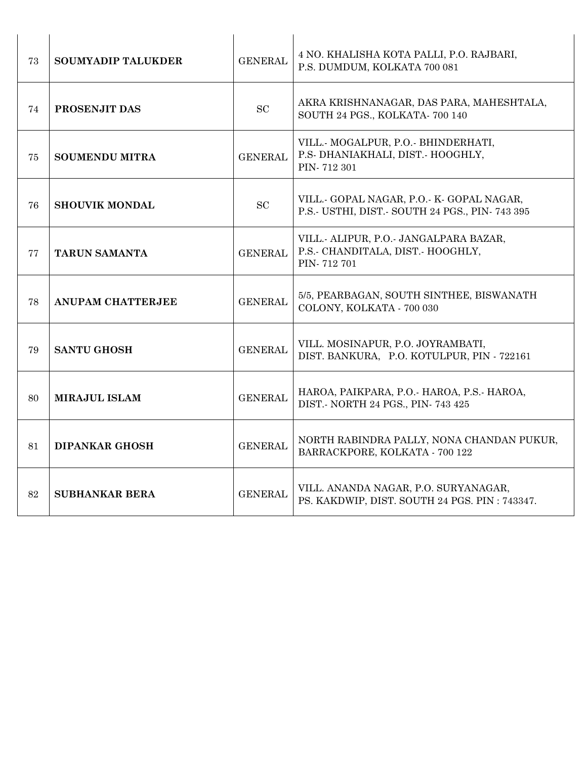| 73 | <b>SOUMYADIP TALUKDER</b> | <b>GENERAL</b> | 4 NO. KHALISHA KOTA PALLI, P.O. RAJBARI,<br>P.S. DUMDUM, KOLKATA 700 081                  |
|----|---------------------------|----------------|-------------------------------------------------------------------------------------------|
| 74 | PROSENJIT DAS             | ${\rm SC}$     | AKRA KRISHNANAGAR, DAS PARA, MAHESHTALA,<br>SOUTH 24 PGS., KOLKATA- 700 140               |
| 75 | <b>SOUMENDU MITRA</b>     | <b>GENERAL</b> | VILL.- MOGALPUR, P.O.- BHINDERHATI,<br>P.S. DHANIAKHALI, DIST. HOOGHLY,<br>PIN-712 301    |
| 76 | <b>SHOUVIK MONDAL</b>     | <b>SC</b>      | VILL. GOPAL NAGAR, P.O. K. GOPAL NAGAR,<br>P.S. USTHI, DIST. SOUTH 24 PGS., PIN-743 395   |
| 77 | <b>TARUN SAMANTA</b>      | <b>GENERAL</b> | VILL.- ALIPUR, P.O.- JANGALPARA BAZAR,<br>P.S.- CHANDITALA, DIST.- HOOGHLY,<br>PIN-712701 |
| 78 | ANUPAM CHATTERJEE         | <b>GENERAL</b> | 5/5, PEARBAGAN, SOUTH SINTHEE, BISWANATH<br>COLONY, KOLKATA - 700 030                     |
| 79 | <b>SANTU GHOSH</b>        | <b>GENERAL</b> | VILL. MOSINAPUR, P.O. JOYRAMBATI,<br>DIST. BANKURA, P.O. KOTULPUR, PIN - 722161           |
| 80 | <b>MIRAJUL ISLAM</b>      | <b>GENERAL</b> | HAROA, PAIKPARA, P.O. HAROA, P.S. HAROA,<br>DIST.- NORTH 24 PGS., PIN-743 425             |
| 81 | <b>DIPANKAR GHOSH</b>     | <b>GENERAL</b> | NORTH RABINDRA PALLY, NONA CHANDAN PUKUR,<br>BARRACKPORE, KOLKATA - 700 122               |
| 82 | <b>SUBHANKAR BERA</b>     | <b>GENERAL</b> | VILL. ANANDA NAGAR, P.O. SURYANAGAR,<br>PS. KAKDWIP, DIST. SOUTH 24 PGS. PIN: 743347.     |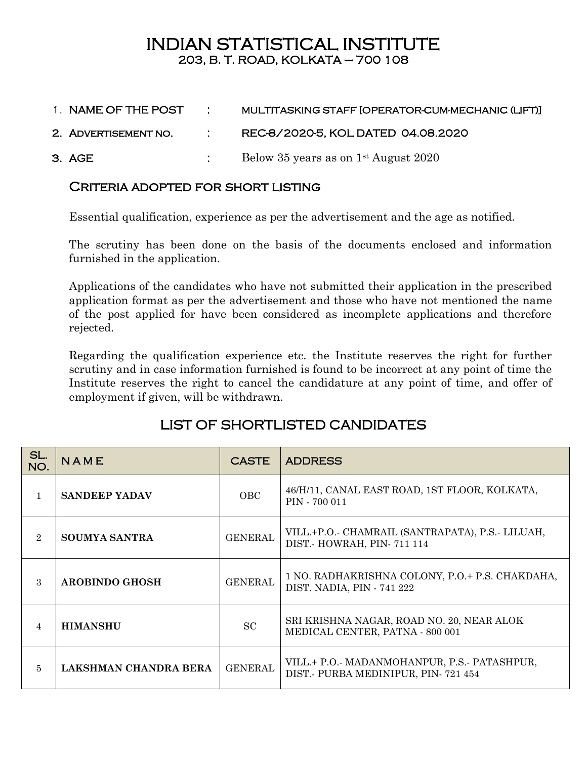# INDIAN STATISTICAL INSTITUTE 203, B. T. ROAD, KOLKATA – 700 108

- 1. NAME OF THE POST : MULTITASKING STAFF [OPERATOR-CUM-MECHANIC (LIFT)]
- 2. Advertisement no. : REC-8/2020-5, KOL DATED 04.08.2020
- 3. AGE : Below 35 years as on 1st August 2020

### Criteria adopted for short listing

Essential qualification, experience as per the advertisement and the age as notified.

The scrutiny has been done on the basis of the documents enclosed and information furnished in the application.

Applications of the candidates who have not submitted their application in the prescribed application format as per the advertisement and those who have not mentioned the name of the post applied for have been considered as incomplete applications and therefore rejected.

Regarding the qualification experience etc. the Institute reserves the right for further scrutiny and in case information furnished is found to be incorrect at any point of time the Institute reserves the right to cancel the candidature at any point of time, and offer of employment if given, will be withdrawn.

## LIST OF SHORTLISTED CANDIDATES

| SL.<br>NO.     | NAME                  | <b>CASTE</b>   | <b>ADDRESS</b>                                                                   |
|----------------|-----------------------|----------------|----------------------------------------------------------------------------------|
| 1              | <b>SANDEEP YADAV</b>  | OBC            | 46/H/11, CANAL EAST ROAD, 1ST FLOOR, KOLKATA,<br>PIN - 700 011                   |
| $\overline{2}$ | <b>SOUMYA SANTRA</b>  | <b>GENERAL</b> | VILL.+P.O. CHAMRAIL (SANTRAPATA), P.S. LILUAH,<br>DIST.- HOWRAH, PIN-711 114     |
| 3              | <b>AROBINDO GHOSH</b> | <b>GENERAL</b> | 1 NO. RADHAKRISHNA COLONY, P.O.+ P.S. CHAKDAHA,<br>DIST. NADIA, PIN - 741 222    |
| 4              | <b>HIMANSHU</b>       | <b>SC</b>      | SRI KRISHNA NAGAR, ROAD NO. 20, NEAR ALOK<br>MEDICAL CENTER, PATNA - 800 001     |
| 5              | LAKSHMAN CHANDRA BERA | <b>GENERAL</b> | VILL.+ P.O. MADANMOHANPUR, P.S. PATASHPUR,<br>DIST. PURBA MEDINIPUR, PIN-721 454 |